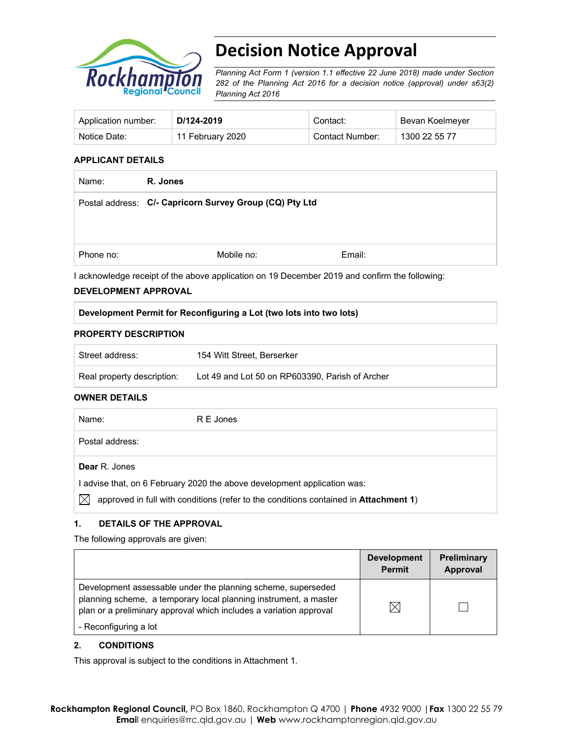

# **Decision Notice Approval**

*Planning Act Form 1 (version 1.1 effective 22 June 2018) made under Section 282 of the Planning Act 2016 for a decision notice (approval) under s63(2) Planning Act 2016*

| Application number: | D/124-2019       | Contact:        | Bevan Koelmeyer |
|---------------------|------------------|-----------------|-----------------|
| Notice Date:        | 11 February 2020 | Contact Number: | 1300 22 55 77   |

#### **APPLICANT DETAILS**

| R. Jones                                                |        |
|---------------------------------------------------------|--------|
| Postal address: C/- Capricorn Survey Group (CQ) Pty Ltd |        |
|                                                         |        |
| Mobile no:                                              | Email: |
|                                                         |        |

I acknowledge receipt of the above application on 19 December 2019 and confirm the following:

#### **DEVELOPMENT APPROVAL**

#### **Development Permit for Reconfiguring a Lot (two lots into two lots)**

#### **PROPERTY DESCRIPTION**

| Street address:            | 154 Witt Street, Berserker                      |
|----------------------------|-------------------------------------------------|
| Real property description: | Lot 49 and Lot 50 on RP603390. Parish of Archer |

#### **OWNER DETAILS**

| Name:           | R E Jones                                                                                    |
|-----------------|----------------------------------------------------------------------------------------------|
| Postal address: |                                                                                              |
| Dear R. Jones   |                                                                                              |
|                 | advise that, on 6 February 2020 the above development application was:                       |
| IX              | approved in full with conditions (refer to the conditions contained in <b>Attachment 1</b> ) |

## **1. DETAILS OF THE APPROVAL**

The following approvals are given:

|                                                                                                                                                                                                        | <b>Development</b><br><b>Permit</b> | <b>Preliminary</b><br>Approval |
|--------------------------------------------------------------------------------------------------------------------------------------------------------------------------------------------------------|-------------------------------------|--------------------------------|
| Development assessable under the planning scheme, superseded<br>planning scheme, a temporary local planning instrument, a master<br>plan or a preliminary approval which includes a variation approval | ⋉                                   |                                |
| - Reconfiguring a lot                                                                                                                                                                                  |                                     |                                |

#### **2. CONDITIONS**

This approval is subject to the conditions in Attachment 1.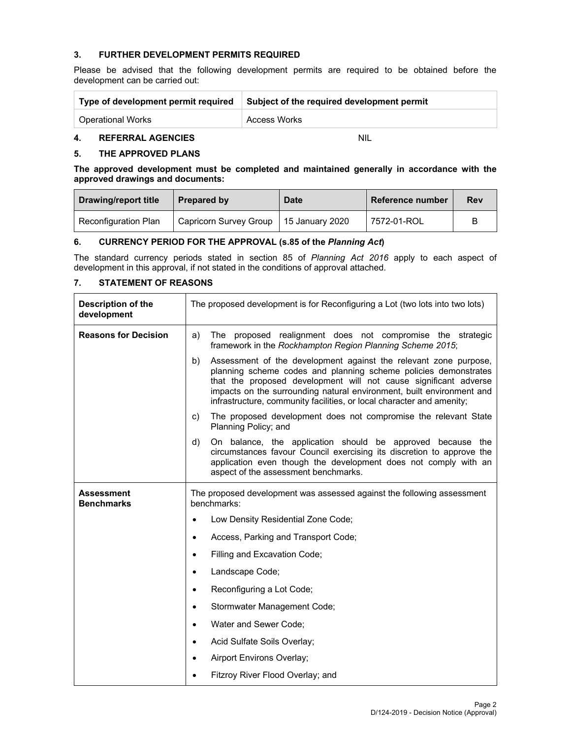#### **3. FURTHER DEVELOPMENT PERMITS REQUIRED**

Please be advised that the following development permits are required to be obtained before the development can be carried out:

| Type of development permit required | Subject of the required development permit |
|-------------------------------------|--------------------------------------------|
| <b>Operational Works</b>            | <b>Access Works</b>                        |

#### **4. REFERRAL AGENCIES** NIL

#### **5. THE APPROVED PLANS**

**The approved development must be completed and maintained generally in accordance with the approved drawings and documents:** 

| Drawing/report title | Prepared by                              | <b>Date</b> | Reference number | <b>Rev</b> |
|----------------------|------------------------------------------|-------------|------------------|------------|
| Reconfiguration Plan | Capricorn Survey Group   15 January 2020 |             | 7572-01-ROL      |            |

### **6. CURRENCY PERIOD FOR THE APPROVAL (s.85 of the** *Planning Act***)**

The standard currency periods stated in section 85 of *Planning Act 2016* apply to each aspect of development in this approval, if not stated in the conditions of approval attached.

## **7. STATEMENT OF REASONS**

| Description of the<br>development      | The proposed development is for Reconfiguring a Lot (two lots into two lots)                                                                                                                                                                                                                                                                                    |  |
|----------------------------------------|-----------------------------------------------------------------------------------------------------------------------------------------------------------------------------------------------------------------------------------------------------------------------------------------------------------------------------------------------------------------|--|
| <b>Reasons for Decision</b>            | The proposed realignment does not compromise the strategic<br>a)<br>framework in the Rockhampton Region Planning Scheme 2015;                                                                                                                                                                                                                                   |  |
|                                        | Assessment of the development against the relevant zone purpose,<br>b)<br>planning scheme codes and planning scheme policies demonstrates<br>that the proposed development will not cause significant adverse<br>impacts on the surrounding natural environment, built environment and<br>infrastructure, community facilities, or local character and amenity; |  |
|                                        | The proposed development does not compromise the relevant State<br>C)<br>Planning Policy; and                                                                                                                                                                                                                                                                   |  |
|                                        | On balance, the application should be approved because the<br>d)<br>circumstances favour Council exercising its discretion to approve the<br>application even though the development does not comply with an<br>aspect of the assessment benchmarks.                                                                                                            |  |
| <b>Assessment</b><br><b>Benchmarks</b> | The proposed development was assessed against the following assessment<br>benchmarks:                                                                                                                                                                                                                                                                           |  |
|                                        | Low Density Residential Zone Code;<br>٠                                                                                                                                                                                                                                                                                                                         |  |
|                                        | Access, Parking and Transport Code;<br>$\bullet$                                                                                                                                                                                                                                                                                                                |  |
|                                        | Filling and Excavation Code;                                                                                                                                                                                                                                                                                                                                    |  |
|                                        | Landscape Code;<br>$\bullet$                                                                                                                                                                                                                                                                                                                                    |  |
|                                        | Reconfiguring a Lot Code;<br>$\bullet$                                                                                                                                                                                                                                                                                                                          |  |
|                                        | Stormwater Management Code;                                                                                                                                                                                                                                                                                                                                     |  |
|                                        | Water and Sewer Code:<br>$\bullet$                                                                                                                                                                                                                                                                                                                              |  |
|                                        | Acid Sulfate Soils Overlay;                                                                                                                                                                                                                                                                                                                                     |  |
|                                        | Airport Environs Overlay;                                                                                                                                                                                                                                                                                                                                       |  |
|                                        | Fitzroy River Flood Overlay; and<br>٠                                                                                                                                                                                                                                                                                                                           |  |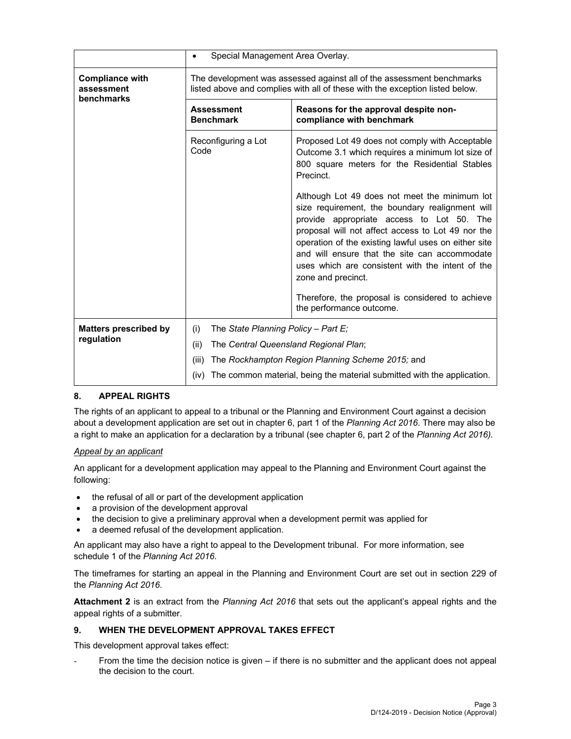|                                                    | Special Management Area Overlay.<br>$\bullet$                                                                                                         |                                                                                                                                                                                                                                                                                                                                                                                       |  |  |
|----------------------------------------------------|-------------------------------------------------------------------------------------------------------------------------------------------------------|---------------------------------------------------------------------------------------------------------------------------------------------------------------------------------------------------------------------------------------------------------------------------------------------------------------------------------------------------------------------------------------|--|--|
| <b>Compliance with</b><br>assessment<br>benchmarks | The development was assessed against all of the assessment benchmarks<br>listed above and complies with all of these with the exception listed below. |                                                                                                                                                                                                                                                                                                                                                                                       |  |  |
|                                                    | <b>Assessment</b><br><b>Benchmark</b>                                                                                                                 | Reasons for the approval despite non-<br>compliance with benchmark                                                                                                                                                                                                                                                                                                                    |  |  |
|                                                    | Reconfiguring a Lot<br>Code                                                                                                                           | Proposed Lot 49 does not comply with Acceptable<br>Outcome 3.1 which requires a minimum lot size of<br>800 square meters for the Residential Stables<br>Precinct.                                                                                                                                                                                                                     |  |  |
|                                                    |                                                                                                                                                       | Although Lot 49 does not meet the minimum lot<br>size requirement, the boundary realignment will<br>provide appropriate access to Lot 50. The<br>proposal will not affect access to Lot 49 nor the<br>operation of the existing lawful uses on either site<br>and will ensure that the site can accommodate<br>uses which are consistent with the intent of the<br>zone and precinct. |  |  |
|                                                    |                                                                                                                                                       | Therefore, the proposal is considered to achieve<br>the performance outcome.                                                                                                                                                                                                                                                                                                          |  |  |
| <b>Matters prescribed by</b><br>regulation         | (i)<br>The State Planning Policy - Part E;<br>(ii)<br>The Central Queensland Regional Plan;                                                           |                                                                                                                                                                                                                                                                                                                                                                                       |  |  |
|                                                    | (iii)<br>(iv)                                                                                                                                         | The Rockhampton Region Planning Scheme 2015; and<br>The common material, being the material submitted with the application.                                                                                                                                                                                                                                                           |  |  |

#### **8. APPEAL RIGHTS**

The rights of an applicant to appeal to a tribunal or the Planning and Environment Court against a decision about a development application are set out in chapter 6, part 1 of the *Planning Act 2016*. There may also be a right to make an application for a declaration by a tribunal (see chapter 6, part 2 of the *Planning Act 2016).*

#### *Appeal by an applicant*

An applicant for a development application may appeal to the Planning and Environment Court against the following:

- the refusal of all or part of the development application
- a provision of the development approval
- the decision to give a preliminary approval when a development permit was applied for
- a deemed refusal of the development application.

An applicant may also have a right to appeal to the Development tribunal. For more information, see schedule 1 of the *Planning Act 2016*.

The timeframes for starting an appeal in the Planning and Environment Court are set out in section 229 of the *Planning Act 2016*.

**Attachment 2** is an extract from the *Planning Act 2016* that sets out the applicant's appeal rights and the appeal rights of a submitter.

#### **9. WHEN THE DEVELOPMENT APPROVAL TAKES EFFECT**

This development approval takes effect:

From the time the decision notice is given  $-$  if there is no submitter and the applicant does not appeal the decision to the court.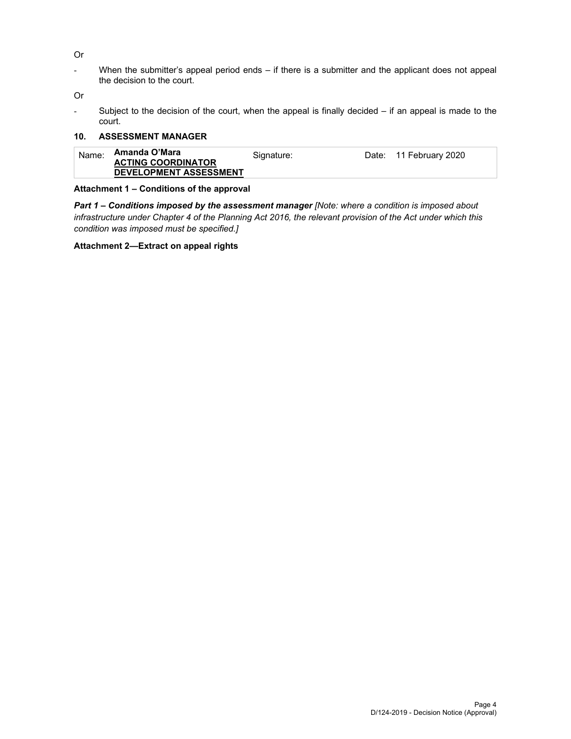- Or
- When the submitter's appeal period ends if there is a submitter and the applicant does not appeal the decision to the court.

Or

- Subject to the decision of the court, when the appeal is finally decided – if an appeal is made to the court.

#### **10. ASSESSMENT MANAGER**

| Name: | Amanda O'Mara<br><b>ACTING COORDINATOR</b><br><b>DEVELOPMENT ASSESSMENT</b> | Signature: |  | Date: 11 February 2020 |
|-------|-----------------------------------------------------------------------------|------------|--|------------------------|
|-------|-----------------------------------------------------------------------------|------------|--|------------------------|

#### **Attachment 1 – Conditions of the approval**

*Part 1* **–** *Conditions imposed by the assessment manager [Note: where a condition is imposed about infrastructure under Chapter 4 of the Planning Act 2016, the relevant provision of the Act under which this condition was imposed must be specified.]*

**Attachment 2—Extract on appeal rights**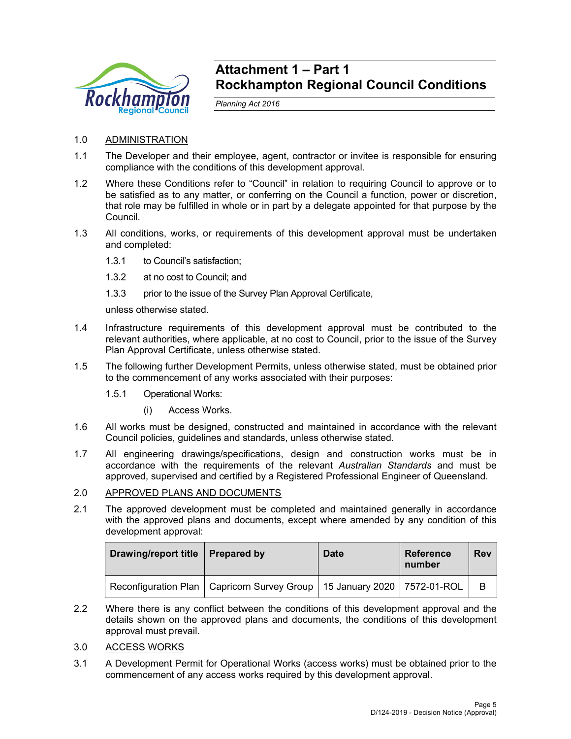

## **Attachment 1 – Part 1 Rockhampton Regional Council Conditions**

*Planning Act 2016* 

- 1.0 ADMINISTRATION
- 1.1 The Developer and their employee, agent, contractor or invitee is responsible for ensuring compliance with the conditions of this development approval.
- 1.2 Where these Conditions refer to "Council" in relation to requiring Council to approve or to be satisfied as to any matter, or conferring on the Council a function, power or discretion, that role may be fulfilled in whole or in part by a delegate appointed for that purpose by the Council.
- 1.3 All conditions, works, or requirements of this development approval must be undertaken and completed:
	- 1.3.1 to Council's satisfaction;
	- 1.3.2 at no cost to Council; and
	- 1.3.3 prior to the issue of the Survey Plan Approval Certificate,

unless otherwise stated.

- 1.4 Infrastructure requirements of this development approval must be contributed to the relevant authorities, where applicable, at no cost to Council, prior to the issue of the Survey Plan Approval Certificate, unless otherwise stated.
- 1.5 The following further Development Permits, unless otherwise stated, must be obtained prior to the commencement of any works associated with their purposes:
	- 1.5.1 Operational Works:
		- (i) Access Works.
- 1.6 All works must be designed, constructed and maintained in accordance with the relevant Council policies, guidelines and standards, unless otherwise stated.
- 1.7 All engineering drawings/specifications, design and construction works must be in accordance with the requirements of the relevant *Australian Standards* and must be approved, supervised and certified by a Registered Professional Engineer of Queensland.

## 2.0 APPROVED PLANS AND DOCUMENTS

2.1 The approved development must be completed and maintained generally in accordance with the approved plans and documents, except where amended by any condition of this development approval:

| Drawing/report title   Prepared by |                                                                               | <b>Date</b> | <b>Reference</b><br>number | <b>Rev</b> |
|------------------------------------|-------------------------------------------------------------------------------|-------------|----------------------------|------------|
|                                    | Reconfiguration Plan   Capricorn Survey Group   15 January 2020   7572-01-ROL |             |                            | B          |

2.2 Where there is any conflict between the conditions of this development approval and the details shown on the approved plans and documents, the conditions of this development approval must prevail.

#### 3.0 ACCESS WORKS

3.1 A Development Permit for Operational Works (access works) must be obtained prior to the commencement of any access works required by this development approval.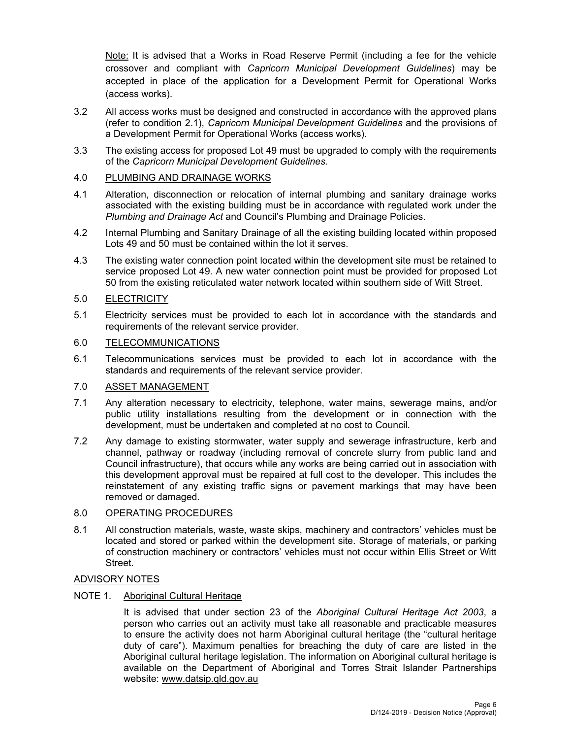Note: It is advised that a Works in Road Reserve Permit (including a fee for the vehicle crossover and compliant with *Capricorn Municipal Development Guidelines*) may be accepted in place of the application for a Development Permit for Operational Works (access works).

- 3.2 All access works must be designed and constructed in accordance with the approved plans (refer to condition 2.1), *Capricorn Municipal Development Guidelines* and the provisions of a Development Permit for Operational Works (access works).
- 3.3 The existing access for proposed Lot 49 must be upgraded to comply with the requirements of the *Capricorn Municipal Development Guidelines*.

## 4.0 PLUMBING AND DRAINAGE WORKS

- 4.1 Alteration, disconnection or relocation of internal plumbing and sanitary drainage works associated with the existing building must be in accordance with regulated work under the *Plumbing and Drainage Act* and Council's Plumbing and Drainage Policies.
- 4.2 Internal Plumbing and Sanitary Drainage of all the existing building located within proposed Lots 49 and 50 must be contained within the lot it serves.
- 4.3 The existing water connection point located within the development site must be retained to service proposed Lot 49. A new water connection point must be provided for proposed Lot 50 from the existing reticulated water network located within southern side of Witt Street.

## 5.0 ELECTRICITY

5.1 Electricity services must be provided to each lot in accordance with the standards and requirements of the relevant service provider.

#### 6.0 TELECOMMUNICATIONS

6.1 Telecommunications services must be provided to each lot in accordance with the standards and requirements of the relevant service provider.

## 7.0 ASSET MANAGEMENT

- 7.1 Any alteration necessary to electricity, telephone, water mains, sewerage mains, and/or public utility installations resulting from the development or in connection with the development, must be undertaken and completed at no cost to Council.
- 7.2 Any damage to existing stormwater, water supply and sewerage infrastructure, kerb and channel, pathway or roadway (including removal of concrete slurry from public land and Council infrastructure), that occurs while any works are being carried out in association with this development approval must be repaired at full cost to the developer. This includes the reinstatement of any existing traffic signs or pavement markings that may have been removed or damaged.

## 8.0 OPERATING PROCEDURES

8.1 All construction materials, waste, waste skips, machinery and contractors' vehicles must be located and stored or parked within the development site. Storage of materials, or parking of construction machinery or contractors' vehicles must not occur within Ellis Street or Witt Street.

## ADVISORY NOTES

### NOTE 1. Aboriginal Cultural Heritage

It is advised that under section 23 of the *Aboriginal Cultural Heritage Act 2003*, a person who carries out an activity must take all reasonable and practicable measures to ensure the activity does not harm Aboriginal cultural heritage (the "cultural heritage duty of care"). Maximum penalties for breaching the duty of care are listed in the Aboriginal cultural heritage legislation. The information on Aboriginal cultural heritage is available on the Department of Aboriginal and Torres Strait Islander Partnerships website: www.datsip.qld.gov.au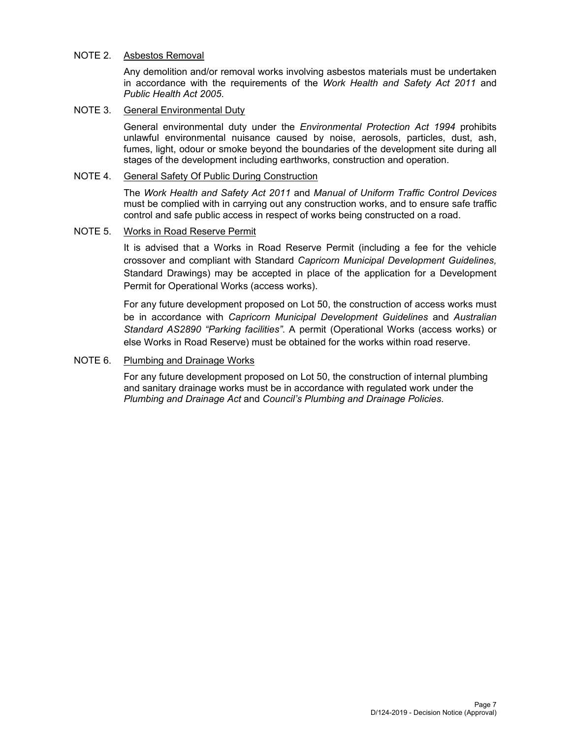#### NOTE 2. Asbestos Removal

Any demolition and/or removal works involving asbestos materials must be undertaken in accordance with the requirements of the *Work Health and Safety Act 2011* and *Public Health Act 2005*.

### NOTE 3. General Environmental Duty

General environmental duty under the *Environmental Protection Act 1994* prohibits unlawful environmental nuisance caused by noise, aerosols, particles, dust, ash, fumes, light, odour or smoke beyond the boundaries of the development site during all stages of the development including earthworks, construction and operation.

### NOTE 4. General Safety Of Public During Construction

The *Work Health and Safety Act 2011* and *Manual of Uniform Traffic Control Devices* must be complied with in carrying out any construction works, and to ensure safe traffic control and safe public access in respect of works being constructed on a road.

## NOTE 5. Works in Road Reserve Permit

It is advised that a Works in Road Reserve Permit (including a fee for the vehicle crossover and compliant with Standard *Capricorn Municipal Development Guidelines,* Standard Drawings) may be accepted in place of the application for a Development Permit for Operational Works (access works).

For any future development proposed on Lot 50, the construction of access works must be in accordance with *Capricorn Municipal Development Guidelines* and *Australian Standard AS2890 "Parking facilities"*. A permit (Operational Works (access works) or else Works in Road Reserve) must be obtained for the works within road reserve.

## NOTE 6. Plumbing and Drainage Works

For any future development proposed on Lot 50, the construction of internal plumbing and sanitary drainage works must be in accordance with regulated work under the *Plumbing and Drainage Act* and *Council's Plumbing and Drainage Policies*.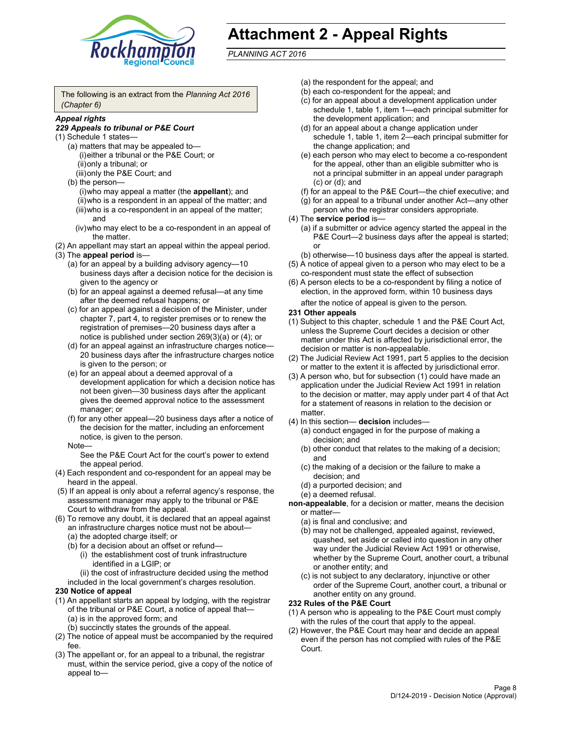

# **Attachment 2 - Appeal Rights**

*PLANNING ACT 2016*

The following is an extract from the *Planning Act 2016 (Chapter 6)*

#### *Appeal rights*

#### *229 Appeals to tribunal or P&E Court*

- (1) Schedule 1 states—
	- (a) matters that may be appealed to— (i) either a tribunal or the P&E Court; or (ii) only a tribunal; or (iii) only the P&E Court; and
	- (b) the person—
		- (i) who may appeal a matter (the **appellant**); and
		- (ii) who is a respondent in an appeal of the matter; and (iii) who is a co-respondent in an appeal of the matter; and
		- (iv) who may elect to be a co-respondent in an appeal of the matter.
- (2) An appellant may start an appeal within the appeal period.
- (3) The **appeal period** is—
	- (a) for an appeal by a building advisory agency—10 business days after a decision notice for the decision is given to the agency or
	- (b) for an appeal against a deemed refusal—at any time after the deemed refusal happens; or
	- (c) for an appeal against a decision of the Minister, under chapter 7, part 4, to register premises or to renew the registration of premises—20 business days after a notice is published under section 269(3)(a) or (4); or
	- (d) for an appeal against an infrastructure charges notice— 20 business days after the infrastructure charges notice is given to the person; or
	- (e) for an appeal about a deemed approval of a development application for which a decision notice has not been given—30 business days after the applicant gives the deemed approval notice to the assessment manager; or
	- (f) for any other appeal—20 business days after a notice of the decision for the matter, including an enforcement notice, is given to the person.

#### Note—

See the P&E Court Act for the court's power to extend the appeal period.

- (4) Each respondent and co-respondent for an appeal may be heard in the appeal.
- (5) If an appeal is only about a referral agency's response, the assessment manager may apply to the tribunal or P&E Court to withdraw from the appeal.
- (6) To remove any doubt, it is declared that an appeal against an infrastructure charges notice must not be about— (a) the adopted charge itself; or
	- (b) for a decision about an offset or refund—
		- (i) the establishment cost of trunk infrastructure identified in a LGIP; or
		- (ii) the cost of infrastructure decided using the method
	- included in the local government's charges resolution.

#### **230 Notice of appeal**

- (1) An appellant starts an appeal by lodging, with the registrar of the tribunal or P&E Court, a notice of appeal that— (a) is in the approved form; and
	- (b) succinctly states the grounds of the appeal.
- (2) The notice of appeal must be accompanied by the required fee.
- (3) The appellant or, for an appeal to a tribunal, the registrar must, within the service period, give a copy of the notice of appeal to—
- (a) the respondent for the appeal; and
- (b) each co-respondent for the appeal; and
- (c) for an appeal about a development application under schedule 1, table 1, item 1—each principal submitter for the development application; and
- (d) for an appeal about a change application under schedule 1, table 1, item 2—each principal submitter for the change application; and
- (e) each person who may elect to become a co-respondent for the appeal, other than an eligible submitter who is not a principal submitter in an appeal under paragraph (c) or (d); and
- (f) for an appeal to the P&E Court—the chief executive; and
- (g) for an appeal to a tribunal under another Act—any other person who the registrar considers appropriate.
- (4) The **service period** is—
	- (a) if a submitter or advice agency started the appeal in the P&E Court-2 business days after the appeal is started; or
	- (b) otherwise—10 business days after the appeal is started.
- (5) A notice of appeal given to a person who may elect to be a co-respondent must state the effect of subsection
- (6) A person elects to be a co-respondent by filing a notice of election, in the approved form, within 10 business days
	- after the notice of appeal is given to the person*.*
- **231 Other appeals**
- (1) Subject to this chapter, schedule 1 and the P&E Court Act, unless the Supreme Court decides a decision or other matter under this Act is affected by jurisdictional error, the decision or matter is non-appealable.
- (2) The Judicial Review Act 1991, part 5 applies to the decision or matter to the extent it is affected by jurisdictional error.
- (3) A person who, but for subsection (1) could have made an application under the Judicial Review Act 1991 in relation to the decision or matter, may apply under part 4 of that Act for a statement of reasons in relation to the decision or matter.
- (4) In this section— **decision** includes—
	- (a) conduct engaged in for the purpose of making a decision; and
	- (b) other conduct that relates to the making of a decision; and
	- (c) the making of a decision or the failure to make a decision; and
	- (d) a purported decision; and
	- (e) a deemed refusal.

**non-appealable**, for a decision or matter, means the decision or matter—

- (a) is final and conclusive; and
- (b) may not be challenged, appealed against, reviewed, quashed, set aside or called into question in any other way under the Judicial Review Act 1991 or otherwise, whether by the Supreme Court, another court, a tribunal or another entity; and
- (c) is not subject to any declaratory, injunctive or other order of the Supreme Court, another court, a tribunal or another entity on any ground.

#### **232 Rules of the P&E Court**

- (1) A person who is appealing to the P&E Court must comply with the rules of the court that apply to the appeal.
- (2) However, the P&E Court may hear and decide an appeal even if the person has not complied with rules of the P&E Court.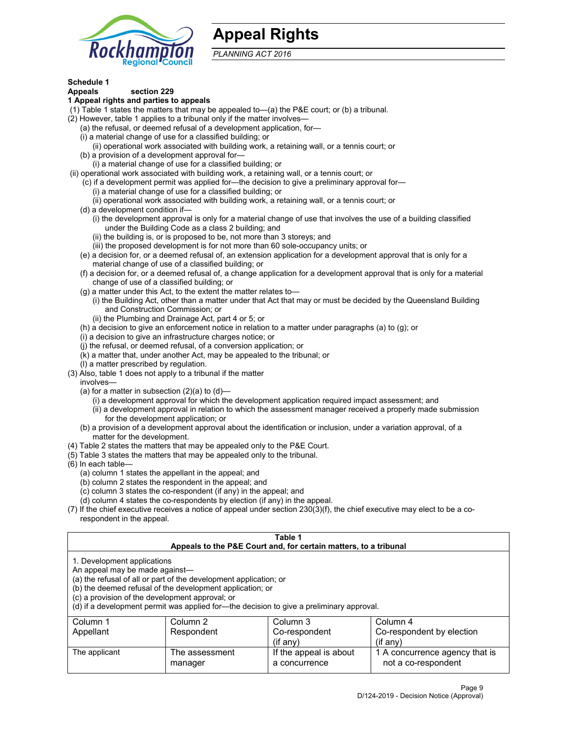

## **Appeal Rights**

*PLANNING ACT 2016*

## **Schedule 1**

## **Appeals section 229**

- **1 Appeal rights and parties to appeals**
- (1) Table 1 states the matters that may be appealed to—(a) the P&E court; or (b) a tribunal.
- (2) However, table 1 applies to a tribunal only if the matter involves—
	- (a) the refusal, or deemed refusal of a development application, for—
	- (i) a material change of use for a classified building; or
	- (ii) operational work associated with building work, a retaining wall, or a tennis court; or
	- (b) a provision of a development approval for—
	- (i) a material change of use for a classified building; or
- (ii) operational work associated with building work, a retaining wall, or a tennis court; or
	- (c) if a development permit was applied for—the decision to give a preliminary approval for—
		- (i) a material change of use for a classified building; or
	- (ii) operational work associated with building work, a retaining wall, or a tennis court; or (d) a development condition if—
		- (i) the development approval is only for a material change of use that involves the use of a building classified under the Building Code as a class 2 building; and
		- (ii) the building is, or is proposed to be, not more than 3 storeys; and
		- (iii) the proposed development is for not more than 60 sole-occupancy units; or
	- (e) a decision for, or a deemed refusal of, an extension application for a development approval that is only for a material change of use of a classified building; or
	- (f) a decision for, or a deemed refusal of, a change application for a development approval that is only for a material change of use of a classified building; or
	- (g) a matter under this Act, to the extent the matter relates to—
		- (i) the Building Act, other than a matter under that Act that may or must be decided by the Queensland Building and Construction Commission; or
		- (ii) the Plumbing and Drainage Act, part 4 or 5; or
	- (h) a decision to give an enforcement notice in relation to a matter under paragraphs (a) to (g); or
	- (i) a decision to give an infrastructure charges notice; or
	- (j) the refusal, or deemed refusal, of a conversion application; or
	- (k) a matter that, under another Act, may be appealed to the tribunal; or
	- (l) a matter prescribed by regulation.
- (3) Also, table 1 does not apply to a tribunal if the matter
	- involves—
		- (a) for a matter in subsection  $(2)(a)$  to  $(d)$ 
			- (i) a development approval for which the development application required impact assessment; and
			- (ii) a development approval in relation to which the assessment manager received a properly made submission for the development application; or
	- (b) a provision of a development approval about the identification or inclusion, under a variation approval, of a matter for the development.
- (4) Table 2 states the matters that may be appealed only to the P&E Court.
- (5) Table 3 states the matters that may be appealed only to the tribunal.
- (6) In each table—
	- (a) column 1 states the appellant in the appeal; and
	- (b) column 2 states the respondent in the appeal; and
	- (c) column 3 states the co-respondent (if any) in the appeal; and
	- (d) column 4 states the co-respondents by election (if any) in the appeal.
- (7) If the chief executive receives a notice of appeal under section 230(3)(f), the chief executive may elect to be a corespondent in the appeal.

| Table 1<br>Appeals to the P&E Court and, for certain matters, to a tribunal                                      |                                                                                                                                |                                                                                          |                                                       |  |  |
|------------------------------------------------------------------------------------------------------------------|--------------------------------------------------------------------------------------------------------------------------------|------------------------------------------------------------------------------------------|-------------------------------------------------------|--|--|
| 1. Development applications<br>An appeal may be made against-<br>(c) a provision of the development approval; or | (a) the refusal of all or part of the development application; or<br>(b) the deemed refusal of the development application; or | (d) if a development permit was applied for—the decision to give a preliminary approval. |                                                       |  |  |
| Column 1                                                                                                         | Column 2                                                                                                                       | Column 3                                                                                 | Column 4                                              |  |  |
| Appellant                                                                                                        | Respondent<br>Co-respondent<br>Co-respondent by election                                                                       |                                                                                          |                                                       |  |  |
| $(if$ any)<br>$($ if any $)$                                                                                     |                                                                                                                                |                                                                                          |                                                       |  |  |
| The applicant                                                                                                    | The assessment<br>manager                                                                                                      | If the appeal is about<br>a concurrence                                                  | 1 A concurrence agency that is<br>not a co-respondent |  |  |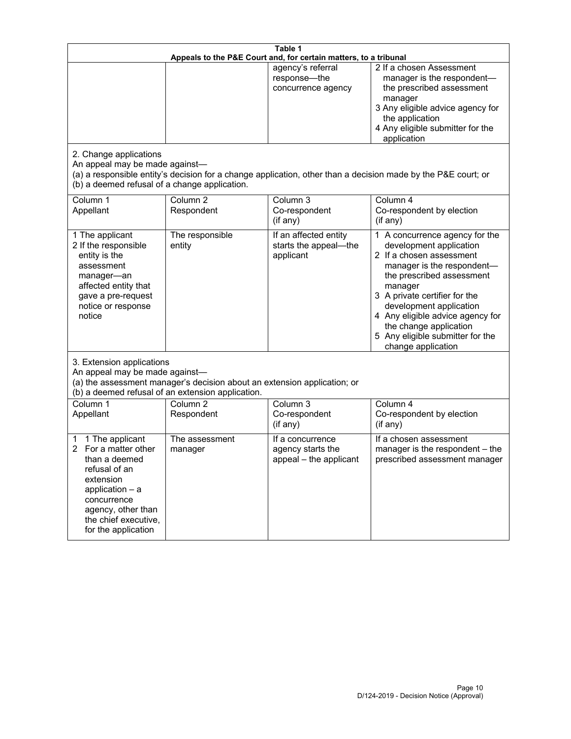| Table 1<br>Appeals to the P&E Court and, for certain matters, to a tribunal                                                                                                                        |                                     |                                                                 |                                                                                                                                                                                                                                                                                                                                                 |
|----------------------------------------------------------------------------------------------------------------------------------------------------------------------------------------------------|-------------------------------------|-----------------------------------------------------------------|-------------------------------------------------------------------------------------------------------------------------------------------------------------------------------------------------------------------------------------------------------------------------------------------------------------------------------------------------|
| 2. Change applications<br>An appeal may be made against-<br>(b) a deemed refusal of a change application.                                                                                          |                                     | agency's referral<br>response-the<br>concurrence agency         | 2 If a chosen Assessment<br>manager is the respondent-<br>the prescribed assessment<br>manager<br>3 Any eligible advice agency for<br>the application<br>4 Any eligible submitter for the<br>application<br>(a) a responsible entity's decision for a change application, other than a decision made by the P&E court; or                       |
| Column 1<br>Appellant                                                                                                                                                                              | Column $\overline{2}$<br>Respondent | Column 3<br>Co-respondent<br>(if any)                           | Column 4<br>Co-respondent by election<br>(i f any)                                                                                                                                                                                                                                                                                              |
| 1 The applicant<br>2 If the responsible<br>entity is the<br>assessment<br>manager-an<br>affected entity that<br>gave a pre-request<br>notice or response<br>notice                                 | The responsible<br>entity           | If an affected entity<br>starts the appeal-the<br>applicant     | 1 A concurrence agency for the<br>development application<br>2 If a chosen assessment<br>manager is the respondent-<br>the prescribed assessment<br>manager<br>3 A private certifier for the<br>development application<br>4 Any eligible advice agency for<br>the change application<br>5 Any eligible submitter for the<br>change application |
| 3. Extension applications<br>An appeal may be made against-<br>(a) the assessment manager's decision about an extension application; or<br>(b) a deemed refusal of an extension application.       |                                     |                                                                 |                                                                                                                                                                                                                                                                                                                                                 |
| Column 1<br>Appellant                                                                                                                                                                              | Column <sub>2</sub><br>Respondent   | Column 3<br>Co-respondent<br>(if any)                           | Column 4<br>Co-respondent by election<br>(if any)                                                                                                                                                                                                                                                                                               |
| 1 The applicant<br>1<br>For a matter other<br>than a deemed<br>refusal of an<br>extension<br>application $-$ a<br>concurrence<br>agency, other than<br>the chief executive,<br>for the application | The assessment<br>manager           | If a concurrence<br>agency starts the<br>appeal - the applicant | If a chosen assessment<br>manager is the respondent - the<br>prescribed assessment manager                                                                                                                                                                                                                                                      |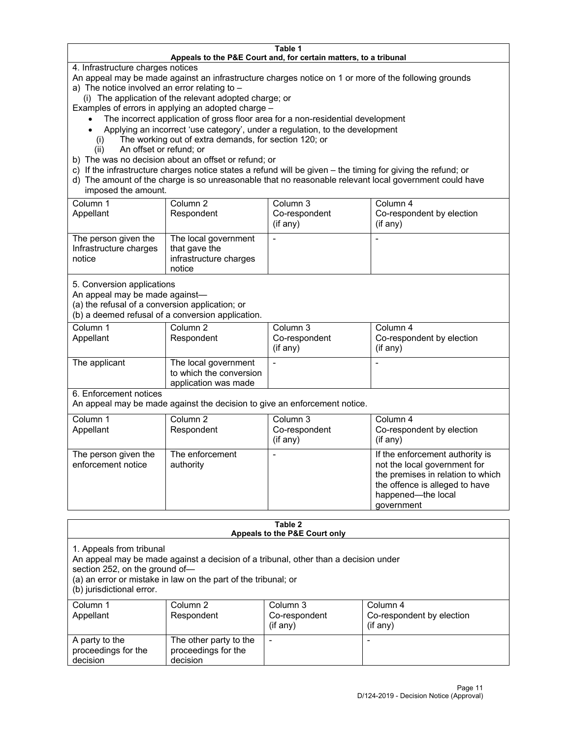#### **Table 1 Appeals to the P&E Court and, for certain matters, to a tribunal**

4. Infrastructure charges notices

An appeal may be made against an infrastructure charges notice on 1 or more of the following grounds

- a) The notice involved an error relating to
	- (i) The application of the relevant adopted charge; or

Examples of errors in applying an adopted charge –

- The incorrect application of gross floor area for a non-residential development
- Applying an incorrect 'use category', under a regulation, to the development
- (i) The working out of extra demands, for section 120; or
- (ii) An offset or refund; or
- b) The was no decision about an offset or refund; or
- c) If the infrastructure charges notice states a refund will be given the timing for giving the refund; or
- d) The amount of the charge is so unreasonable that no reasonable relevant local government could have imposed the amount.

| Column 1<br>Appellant                                    | Column 2<br>Respondent                                                    | Column 3<br>Co-respondent<br>(i f any) | Column 4<br>Co-respondent by election<br>(if any) |
|----------------------------------------------------------|---------------------------------------------------------------------------|----------------------------------------|---------------------------------------------------|
| The person given the<br>Infrastructure charges<br>notice | The local government<br>that gave the<br>infrastructure charges<br>notice |                                        |                                                   |

5. Conversion applications

An appeal may be made against—

(a) the refusal of a conversion application; or

(b) a deemed refusal of a conversion application.

| Column 1      | Column 2                | Column 3       | Column 4                  |
|---------------|-------------------------|----------------|---------------------------|
| Appellant     | Respondent              | Co-respondent  | Co-respondent by election |
|               |                         | $($ if any $)$ | $($ if any $)$            |
|               |                         |                |                           |
| The applicant | The local government    |                |                           |
|               | to which the conversion |                |                           |
|               | application was made    |                |                           |

6. Enforcement notices

An appeal may be made against the decision to give an enforcement notice.

| Column 1<br>Appellant                      | Column 2<br>Respondent       | Column 3<br>Co-respondent<br>(if any) | Column 4<br>Co-respondent by election<br>(i f any)                                                                                                                         |
|--------------------------------------------|------------------------------|---------------------------------------|----------------------------------------------------------------------------------------------------------------------------------------------------------------------------|
| The person given the<br>enforcement notice | The enforcement<br>authority |                                       | If the enforcement authority is<br>not the local government for<br>the premises in relation to which<br>the offence is alleged to have<br>happened-the local<br>government |

#### **Table 2 Appeals to the P&E Court only**

1. Appeals from tribunal

An appeal may be made against a decision of a tribunal, other than a decision under

section 252, on the ground of—

(a) an error or mistake in law on the part of the tribunal; or

(b) jurisdictional error.

| Column 1<br>Appellant                             | Column 2<br>Respondent                                    | Column 3<br>Co-respondent<br>$($ if any $)$ | Column 4<br>Co-respondent by election<br>$(if$ any) |
|---------------------------------------------------|-----------------------------------------------------------|---------------------------------------------|-----------------------------------------------------|
| A party to the<br>proceedings for the<br>decision | The other party to the<br>proceedings for the<br>decision | -                                           |                                                     |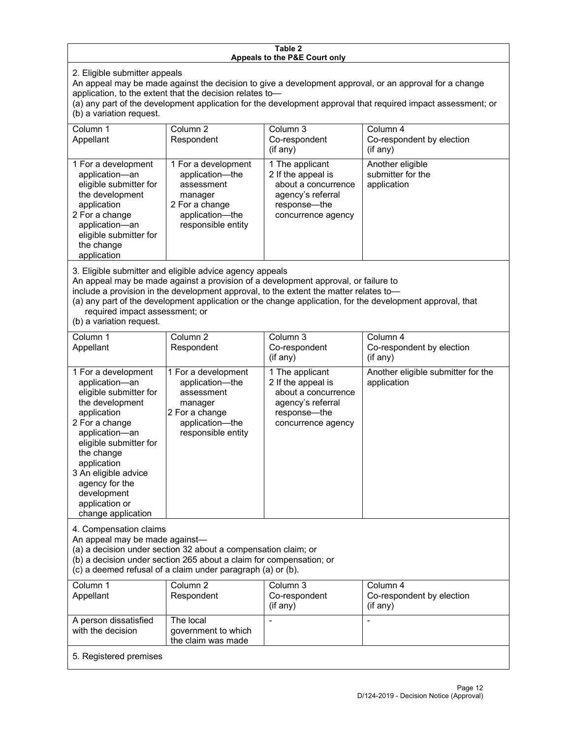#### **Table 2 Appeals to the P&E Court only**

2. Eligible submitter appeals

An appeal may be made against the decision to give a development approval, or an approval for a change application, to the extent that the decision relates to—

(a) any part of the development application for the development approval that required impact assessment; or (b) a variation request.

| Column 1<br>Appellant                                                                                                                                                                        | Column 2<br>Respondent                                                                                                     | Column 3<br>Co-respondent<br>(i f any)                                                                                  | Column 4<br>Co-respondent by election<br>$($ if any $)$ |
|----------------------------------------------------------------------------------------------------------------------------------------------------------------------------------------------|----------------------------------------------------------------------------------------------------------------------------|-------------------------------------------------------------------------------------------------------------------------|---------------------------------------------------------|
| 1 For a development<br>application-an<br>eligible submitter for<br>the development<br>application<br>2 For a change<br>application-an<br>eligible submitter for<br>the change<br>application | 1 For a development<br>application-the<br>assessment<br>manager<br>2 For a change<br>application-the<br>responsible entity | 1 The applicant<br>2 If the appeal is<br>about a concurrence<br>agency's referral<br>response—the<br>concurrence agency | Another eligible<br>submitter for the<br>application    |

3. Eligible submitter and eligible advice agency appeals

An appeal may be made against a provision of a development approval, or failure to

include a provision in the development approval, to the extent the matter relates to—

(a) any part of the development application or the change application, for the development approval, that required impact assessment; or

(b) a variation request.

| Column 1<br>Appellant                                                                                                                                                                                                                                                                         | Column <sub>2</sub><br>Respondent                                                                                          | Column 3<br>Co-respondent<br>(if any)                                                                                   | Column 4<br>Co-respondent by election<br>(if any) |
|-----------------------------------------------------------------------------------------------------------------------------------------------------------------------------------------------------------------------------------------------------------------------------------------------|----------------------------------------------------------------------------------------------------------------------------|-------------------------------------------------------------------------------------------------------------------------|---------------------------------------------------|
| 1 For a development<br>application-an<br>eligible submitter for<br>the development<br>application<br>2 For a change<br>application-an<br>eligible submitter for<br>the change<br>application<br>3 An eligible advice<br>agency for the<br>development<br>application or<br>change application | 1 For a development<br>application-the<br>assessment<br>manager<br>2 For a change<br>application-the<br>responsible entity | 1 The applicant<br>2 If the appeal is<br>about a concurrence<br>agency's referral<br>response-the<br>concurrence agency | Another eligible submitter for the<br>application |
| 4. Compensation claims<br>An appeal may be made against-<br>(a) a decision under section 32 about a compensation claim; or<br>(b) a decision under section 265 about a claim for compensation; or<br>(c) a deemed refusal of a claim under paragraph (a) or (b).                              |                                                                                                                            |                                                                                                                         |                                                   |
| Column 1<br>Appellant                                                                                                                                                                                                                                                                         | Column <sub>2</sub><br>Respondent                                                                                          | Column 3<br>Co-respondent<br>(if any)                                                                                   | Column 4<br>Co-respondent by election<br>(if any) |
| A person dissatisfied<br>with the decision                                                                                                                                                                                                                                                    | The local<br>government to which<br>the claim was made                                                                     |                                                                                                                         |                                                   |
| 5. Registered premises                                                                                                                                                                                                                                                                        |                                                                                                                            |                                                                                                                         |                                                   |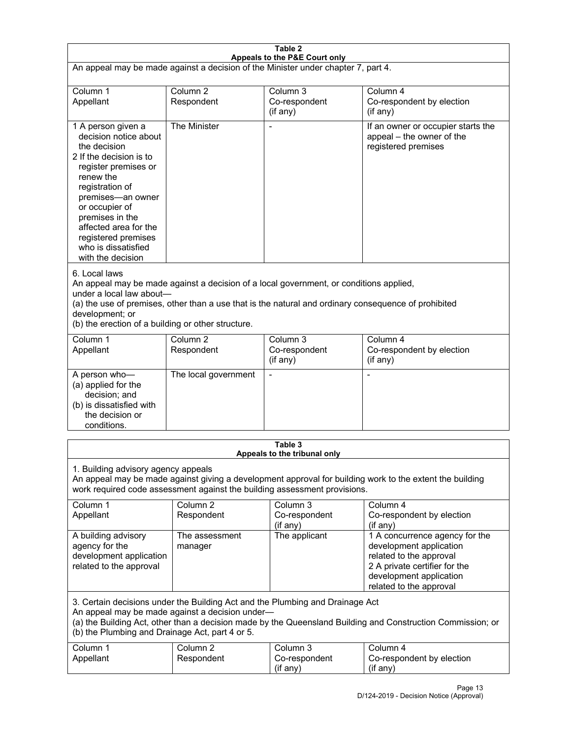| Table 2<br>Appeals to the P&E Court only                                                                                                                                                                                                                                                                             |                                   |                                                  |                                                                                                                                                                             |  |
|----------------------------------------------------------------------------------------------------------------------------------------------------------------------------------------------------------------------------------------------------------------------------------------------------------------------|-----------------------------------|--------------------------------------------------|-----------------------------------------------------------------------------------------------------------------------------------------------------------------------------|--|
| An appeal may be made against a decision of the Minister under chapter 7, part 4.                                                                                                                                                                                                                                    |                                   |                                                  |                                                                                                                                                                             |  |
| Column 1<br>Appellant                                                                                                                                                                                                                                                                                                | Column <sub>2</sub><br>Respondent | Column <sub>3</sub><br>Co-respondent<br>(if any) | Column 4<br>Co-respondent by election<br>(if any)                                                                                                                           |  |
| 1 A person given a<br>decision notice about<br>the decision<br>2 If the decision is to<br>register premises or<br>renew the<br>registration of<br>premises-an owner<br>or occupier of<br>premises in the<br>affected area for the<br>registered premises<br>who is dissatisfied<br>with the decision                 | The Minister                      | Ĭ.                                               | If an owner or occupier starts the<br>appeal - the owner of the<br>registered premises                                                                                      |  |
| 6. Local laws<br>An appeal may be made against a decision of a local government, or conditions applied,<br>under a local law about-<br>(a) the use of premises, other than a use that is the natural and ordinary consequence of prohibited<br>development; or<br>(b) the erection of a building or other structure. |                                   |                                                  |                                                                                                                                                                             |  |
| Column 1<br>Appellant                                                                                                                                                                                                                                                                                                | Column <sub>2</sub><br>Respondent | Column <sub>3</sub><br>Co-respondent<br>(if any) | Column 4<br>Co-respondent by election<br>(if any)                                                                                                                           |  |
| A person who-<br>(a) applied for the<br>decision; and<br>(b) is dissatisfied with<br>the decision or<br>conditions.                                                                                                                                                                                                  | The local government              | L,                                               | $\overline{a}$                                                                                                                                                              |  |
| Table 3<br>Appeals to the tribunal only                                                                                                                                                                                                                                                                              |                                   |                                                  |                                                                                                                                                                             |  |
| 1. Building advisory agency appeals<br>An appeal may be made against giving a development approval for building work to the extent the building<br>work required code assessment against the building assessment provisions.                                                                                         |                                   |                                                  |                                                                                                                                                                             |  |
| Column 1<br>Appellant                                                                                                                                                                                                                                                                                                | Column <sub>2</sub><br>Respondent | Column 3<br>Co-respondent<br>(if any)            | Column 4<br>Co-respondent by election<br>(if any)                                                                                                                           |  |
| A building advisory<br>agency for the<br>development application<br>related to the approval                                                                                                                                                                                                                          | The assessment<br>manager         | The applicant                                    | 1 A concurrence agency for the<br>development application<br>related to the approval<br>2 A private certifier for the<br>development application<br>related to the approval |  |
| 3. Certain decisions under the Building Act and the Plumbing and Drainage Act<br>An appeal may be made against a decision under-<br>(a) the Building Act, other than a decision made by the Queensland Building and Construction Commission; or<br>(b) the Plumbing and Drainage Act, part 4 or 5.                   |                                   |                                                  |                                                                                                                                                                             |  |
| Column 1<br>Appellant                                                                                                                                                                                                                                                                                                | Column <sub>2</sub><br>Respondent | Column 3<br>Co-respondent<br>(if any)            | Column 4<br>Co-respondent by election<br>(if any)                                                                                                                           |  |